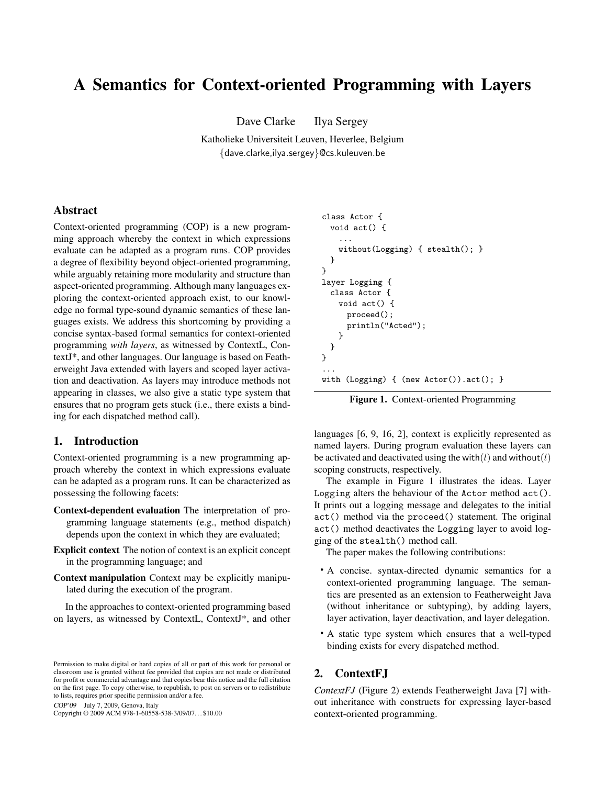# A Semantics for Context-oriented Programming with Layers

Dave Clarke Ilya Sergey

Katholieke Universiteit Leuven, Heverlee, Belgium {dave.clarke,ilya.sergey}@cs.kuleuven.be

## Abstract

Context-oriented programming (COP) is a new programming approach whereby the context in which expressions evaluate can be adapted as a program runs. COP provides a degree of flexibility beyond object-oriented programming, while arguably retaining more modularity and structure than aspect-oriented programming. Although many languages exploring the context-oriented approach exist, to our knowledge no formal type-sound dynamic semantics of these languages exists. We address this shortcoming by providing a concise syntax-based formal semantics for context-oriented programming *with layers*, as witnessed by ContextL, ContextJ\*, and other languages. Our language is based on Featherweight Java extended with layers and scoped layer activation and deactivation. As layers may introduce methods not appearing in classes, we also give a static type system that ensures that no program gets stuck (i.e., there exists a binding for each dispatched method call).

## 1. Introduction

Context-oriented programming is a new programming approach whereby the context in which expressions evaluate can be adapted as a program runs. It can be characterized as possessing the following facets:

- Context-dependent evaluation The interpretation of programming language statements (e.g., method dispatch) depends upon the context in which they are evaluated;
- Explicit context The notion of context is an explicit concept in the programming language; and
- Context manipulation Context may be explicitly manipulated during the execution of the program.

In the approaches to context-oriented programming based on layers, as witnessed by ContextL, ContextJ\*, and other

COP'09 July 7, 2009, Genova, Italy

Copyright © 2009 ACM 978-1-60558-538-3/09/07. . . \$10.00

```
class Actor {
 void act() {
    ...
   without(Logging) { stealth(); }
 }
}
layer Logging {
 class Actor {
   void act() {
     proceed();
     println("Acted");
   }
 }
}
...
with (Logging) { (new Actor()).act(); }
```
Figure 1. Context-oriented Programming

languages [6, 9, 16, 2], context is explicitly represented as named layers. During program evaluation these layers can be activated and deactivated using the with $(l)$  and without $(l)$ scoping constructs, respectively.

The example in Figure 1 illustrates the ideas. Layer Logging alters the behaviour of the Actor method act(). It prints out a logging message and delegates to the initial act() method via the proceed() statement. The original act() method deactivates the Logging layer to avoid logging of the stealth() method call.

The paper makes the following contributions:

- A concise. syntax-directed dynamic semantics for a context-oriented programming language. The semantics are presented as an extension to Featherweight Java (without inheritance or subtyping), by adding layers, layer activation, layer deactivation, and layer delegation.
- A static type system which ensures that a well-typed binding exists for every dispatched method.

## 2. ContextFJ

*ContextFJ* (Figure 2) extends Featherweight Java [7] without inheritance with constructs for expressing layer-based context-oriented programming.

Permission to make digital or hard copies of all or part of this work for personal or classroom use is granted without fee provided that copies are not made or distributed for profit or commercial advantage and that copies bear this notice and the full citation on the first page. To copy otherwise, to republish, to post on servers or to redistribute to lists, requires prior specific permission and/or a fee.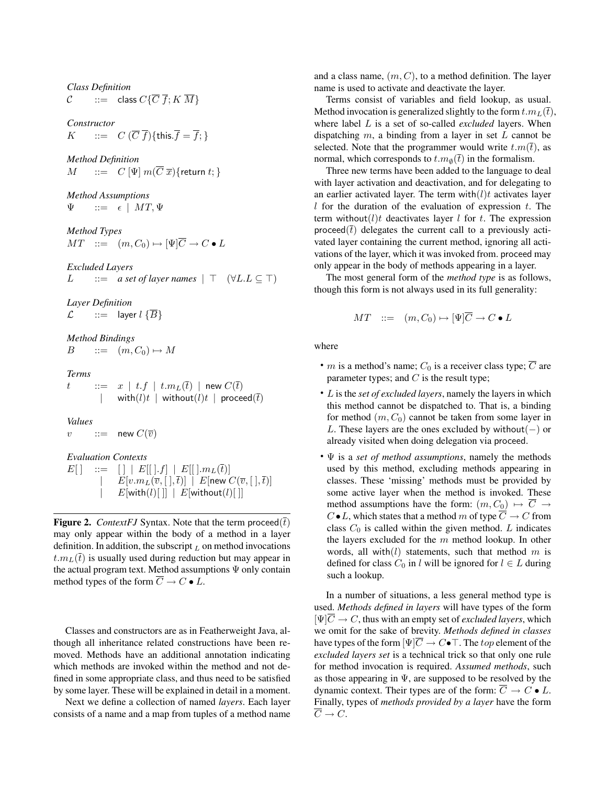*Class Definition*  $\mathcal{C}$  ::= class  $C\{\overline{C}\,\overline{f}; K\,\overline{M}\}$ 

*Constructor*  $K$  ::=  $C(\overline{C}\ \overline{f})\{\text{this}.\overline{f} = \overline{f};\}$ 

*Method Definition*  $M$  ::=  $C \Psi m(\overline{C} \overline{x})$ {return t; }

*Method Assumptions*  $::= \epsilon \mid MT, \Psi$ 

*Method Types*  $MT \quad ::= \quad (m, C_0) \mapsto [\Psi] \overline{C} \to C \bullet L$ 

*Excluded Layers*  $L$  ::= *a set of layer names* | ⊤ (∀L.L ⊆ ⊤)

*Layer Definition*  $\mathcal{L}$  ::= layer  $l \{\overline{B}\}$ 

*Method Bindings*  $B$  ::=  $(m, C_0) \mapsto M$ 

*Terms*  $t$   $\quad \, :=\, \,$   $x$   $\mid$   $t.f$   $\mid$   $t.m_L(\bar t)$   $\mid$  new  $C(\bar t)$ with $(l)t$  | without $(l)t$  | proceed $(\bar{t})$ 

*Values*

v ::= new  $C(\overline{v})$ 

*Evaluation Contexts*

 $E[ ]$  ::=  $[ ] | E[ ] .f ] | E[ ] .m_L(\overline{t}) ]$  $| \quad \ \ E[v.m_L(\overline{v},[~],\overline{t})] \, \mid \, E[\textsf{new}~C(\overline{v},[~],\overline{t})]$  $\vert E[\text{with}(l)[\;]] \, \vert E[\text{without}(l)[\;]]$ 

**Figure 2.** *ContextFJ* Syntax. Note that the term proceed $(\bar{t})$ may only appear within the body of a method in a layer definition. In addition, the subscript  $<sub>L</sub>$  on method invocations</sub>  $t.m<sub>L</sub>(\bar{t})$  is usually used during reduction but may appear in the actual program text. Method assumptions  $\Psi$  only contain method types of the form  $\overline{C} \to C \bullet L$ .

Classes and constructors are as in Featherweight Java, although all inheritance related constructions have been removed. Methods have an additional annotation indicating which methods are invoked within the method and not defined in some appropriate class, and thus need to be satisfied by some layer. These will be explained in detail in a moment.

Next we define a collection of named *layers*. Each layer consists of a name and a map from tuples of a method name

and a class name,  $(m, C)$ , to a method definition. The layer name is used to activate and deactivate the layer.

Terms consist of variables and field lookup, as usual. Method invocation is generalized slightly to the form  $t.m_L(\bar{t})$ , where label L is a set of so-called *excluded* layers. When dispatching  $m$ , a binding from a layer in set  $L$  cannot be selected. Note that the programmer would write  $t.m(\bar{t})$ , as normal, which corresponds to  $t.m_{\emptyset}(\bar{t})$  in the formalism.

Three new terms have been added to the language to deal with layer activation and deactivation, and for delegating to an earlier activated layer. The term with $(l)t$  activates layer l for the duration of the evaluation of expression  $t$ . The term without $(l)t$  deactivates layer l for t. The expression proceed( $\bar{t}$ ) delegates the current call to a previously activated layer containing the current method, ignoring all activations of the layer, which it was invoked from. proceed may only appear in the body of methods appearing in a layer.

The most general form of the *method type* is as follows, though this form is not always used in its full generality:

$$
MT \quad ::= \quad (m, C_0) \mapsto [\Psi]\overline{C} \to C \bullet L
$$

where

- *m* is a method's name;  $C_0$  is a receiver class type;  $\overline{C}$  are parameter types; and  $C$  is the result type;
- L is the *set of excluded layers*, namely the layers in which this method cannot be dispatched to. That is, a binding for method  $(m, C_0)$  cannot be taken from some layer in L. These layers are the ones excluded by without $(-)$  or already visited when doing delegation via proceed.
- Ψ is a *set of method assumptions*, namely the methods used by this method, excluding methods appearing in classes. These 'missing' methods must be provided by some active layer when the method is invoked. These method assumptions have the form:  $(m, C_0) \mapsto \overline{C} \rightarrow$  $C \bullet L$ , which states that a method m of type  $\overline{C} \to C$  from class  $C_0$  is called within the given method. L indicates the layers excluded for the  $m$  method lookup. In other words, all with $(l)$  statements, such that method m is defined for class  $C_0$  in l will be ignored for  $l \in L$  during such a lookup.

In a number of situations, a less general method type is used. *Methods defined in layers* will have types of the form  $[\Psi]\overline{C} \to C$ , thus with an empty set of *excluded layers*, which we omit for the sake of brevity. *Methods defined in classes* have types of the form  $[\Psi]\overline{C} \to C \bullet \top$ . The top element of the *excluded layers set* is a technical trick so that only one rule for method invocation is required. *Assumed methods*, such as those appearing in  $\Psi$ , are supposed to be resolved by the dynamic context. Their types are of the form:  $\overline{C} \to C \bullet L$ . Finally, types of *methods provided by a layer* have the form  $\overline{C} \rightarrow C.$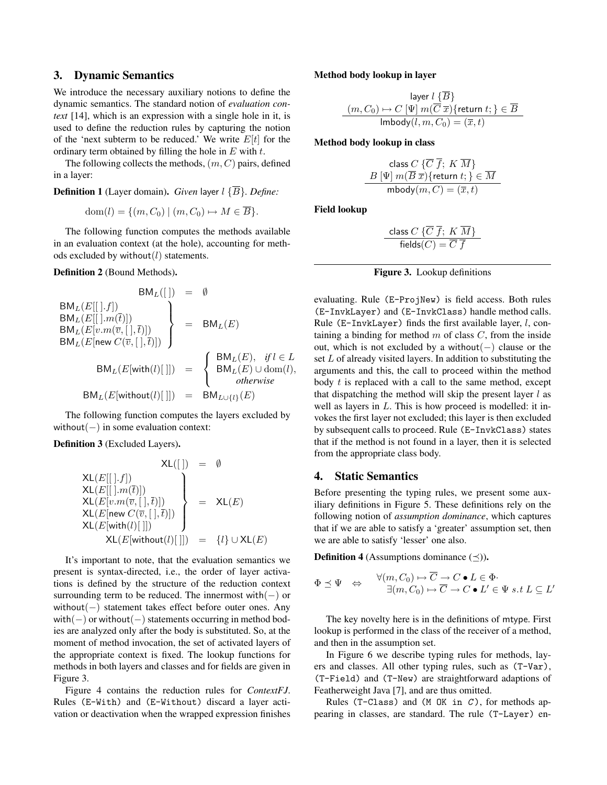## 3. Dynamic Semantics

We introduce the necessary auxiliary notions to define the dynamic semantics. The standard notion of *evaluation context* [14], which is an expression with a single hole in it, is used to define the reduction rules by capturing the notion of the 'next subterm to be reduced.' We write  $E[t]$  for the ordinary term obtained by filling the hole in  $E$  with  $t$ .

The following collects the methods,  $(m, C)$  pairs, defined in a layer:

**Definition 1** (Layer domain). *Given* layer  $l \{\overline{B}\}\$ . *Define:* 

$$
\text{dom}(l) = \{ (m, C_0) \mid (m, C_0) \mapsto M \in \overline{B} \}.
$$

The following function computes the methods available in an evaluation context (at the hole), accounting for methods excluded by without $(l)$  statements.

Definition 2 (Bound Methods).

$$
BM_L(E[[\cdot], f])
$$
  
\n
$$
BM_L(E[[\cdot], m(\bar{t})])
$$
  
\n
$$
BM_L(E[[\cdot], m(\bar{t})])
$$
  
\n
$$
BM_L(E[v.m(\bar{v}, [\cdot], \bar{t})])
$$
  
\n
$$
BM_L(E[\text{new } C(\bar{v}, [\cdot], \bar{t})])
$$
  
\n
$$
BM_L(E[\text{with}(l)[\cdot]]) = \begin{cases} BM_L(E), & \text{if } l \in L \\ BM_L(E) \cup \text{dom}(l), \\ & \text{otherwise} \end{cases}
$$
  
\n
$$
BM_L(E[\text{without}(l)[\cdot]]) = BM_{L\cup\{l\}}(E)
$$

The following function computes the layers excluded by without(−) in some evaluation context:

Definition 3 (Excluded Layers).

$$
\mathsf{XL}(E[[\cdot,f])
$$
\n
$$
\mathsf{XL}(E[[\cdot,f])
$$
\n
$$
\mathsf{XL}(E[[\cdot,m(\bar{t})])
$$
\n
$$
\mathsf{XL}(E[v.m(\bar{v},[\cdot],\bar{t})])
$$
\n
$$
\mathsf{XL}(E[\text{new } C(\bar{v},[\cdot],\bar{t})])
$$
\n
$$
\mathsf{XL}(E[\text{with}(l)[\cdot]])
$$
\n
$$
\mathsf{XL}(E[\text{without}(l)[\cdot]])
$$
\n
$$
= \{l\} \cup \mathsf{XL}(E)
$$

It's important to note, that the evaluation semantics we present is syntax-directed, i.e., the order of layer activations is defined by the structure of the reduction context surrounding term to be reduced. The innermost with $(-)$  or without(−) statement takes effect before outer ones. Any with( $-$ ) or without( $-$ ) statements occurring in method bodies are analyzed only after the body is substituted. So, at the moment of method invocation, the set of activated layers of the appropriate context is fixed. The lookup functions for methods in both layers and classes and for fields are given in Figure 3.

Figure 4 contains the reduction rules for *ContextFJ*. Rules (E-With) and (E-Without) discard a layer activation or deactivation when the wrapped expression finishes

#### Method body lookup in layer

$$
\text{layer } l \{B\}
$$
\n
$$
(m, C_0) \mapsto C \left[\Psi\right] m(\overline{C} \ \overline{x}) \{\text{return } t; \} \in \overline{B}
$$
\n
$$
\text{Imbody}(l, m, C_0) = (\overline{x}, t)
$$

Method body lookup in class

$$
\begin{array}{c} \text{class } C \ \{\overline{C}\ \overline{f}; \ K \ \overline{M} \} \\ \hline B \ [\Psi] \ m(\overline{B}\ \overline{x}) \{\text{return } t; \} \in \overline{M} \\ \text{mbody}(m, C) = (\overline{x}, t) \end{array}
$$

Field lookup

$$
\frac{\text{class } C \; \{ \overline{C} \; \overline{f}; \; K \; \overline{M} \}}{\text{fields}(C) = \overline{C} \; \overline{f}}
$$



evaluating. Rule (E-ProjNew) is field access. Both rules (E-InvkLayer) and (E-InvkClass) handle method calls. Rule (E-InvkLayer) finds the first available layer,  $l$ , containing a binding for method  $m$  of class  $C$ , from the inside out, which is not excluded by a without(−) clause or the set  $L$  of already visited layers. In addition to substituting the arguments and this, the call to proceed within the method body  $t$  is replaced with a call to the same method, except that dispatching the method will skip the present layer  $l$  as well as layers in  $L$ . This is how proceed is modelled: it invokes the first layer not excluded; this layer is then excluded by subsequent calls to proceed. Rule (E-InvkClass) states that if the method is not found in a layer, then it is selected from the appropriate class body.

## 4. Static Semantics

Before presenting the typing rules, we present some auxiliary definitions in Figure 5. These definitions rely on the following notion of *assumption dominance*, which captures that if we are able to satisfy a 'greater' assumption set, then we are able to satisfy 'lesser' one also.

**Definition 4** (Assumptions dominance  $(\preceq)$ ).

$$
\Phi \preceq \Psi \quad \Leftrightarrow \quad \begin{array}{c} \forall (m, C_0) \mapsto \overline{C} \to C \bullet L \in \Phi \\ \exists (m, C_0) \mapsto \overline{C} \to C \bullet L' \in \Psi \ s.t \ L \subseteq L' \end{array}
$$

The key novelty here is in the definitions of mtype. First lookup is performed in the class of the receiver of a method, and then in the assumption set.

In Figure 6 we describe typing rules for methods, layers and classes. All other typing rules, such as (T-Var), (T-Field) and (T-New) are straightforward adaptions of Featherweight Java [7], and are thus omitted.

Rules (T-Class) and (M OK in  $C$ ), for methods appearing in classes, are standard. The rule (T-Layer) en-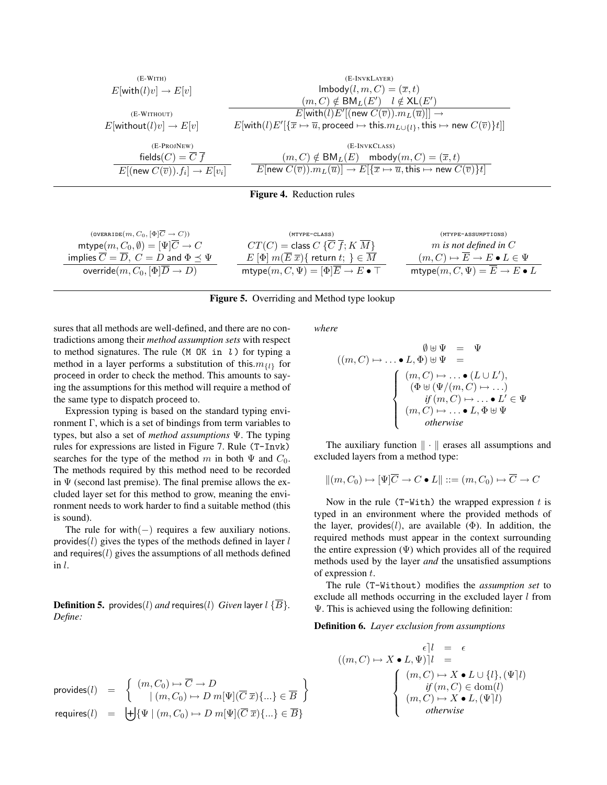| $(E-WITH)$                                                | (E-INVKLAYER)                                                                                                                                                              |
|-----------------------------------------------------------|----------------------------------------------------------------------------------------------------------------------------------------------------------------------------|
| $E[\text{with}(l)v] \rightarrow E[v]$                     | $\textsf{Imbody}(l, m, C) = (\overline{x}, t)$                                                                                                                             |
|                                                           | $(m, C) \notin BM_L(E') \quad l \notin XL(E')$                                                                                                                             |
| (E-WITHOUT)                                               | $E[\text{with}(l)E'[(\text{new } C(\overline{v})).m_L(\overline{u})]] \rightarrow$                                                                                         |
| $E[\text{without}(l)v] \rightarrow E[v]$                  | $E[\text{with}(l)E' \{\overline{x}\mapsto \overline{u}, \text{proceed}\mapsto \text{this}.m_{L\cup\{l\}}, \text{this}\mapsto \text{new } C(\overline{v})\}t] $             |
| (E-PROJNEW)                                               | (E-INVKCLASS)                                                                                                                                                              |
| fields $(C) = \overline{C} \ \overline{f}$                | $(m, C) \notin BM_L(E)$ mbody $(m, C) = (\overline{x}, t)$                                                                                                                 |
| $E[(\text{new } C(\overline{v})).f_i] \rightarrow E[v_i]$ | $E$ [new $C(\overline{v})$ ]. $m_L(\overline{u})$ ] $\rightarrow E[\{\overline{x} \mapsto \overline{u}, \overline{u}\}]$ this $\mapsto$ new $C(\overline{v})$ } <i>t</i> ] |
|                                                           |                                                                                                                                                                            |

Figure 4. Reduction rules

| $(over \texttt{overRDE}(m, C_0, [\Phi]\overline{C} \to C))$           | $(MTYPE-CLASS)$                                                             | (MTYPE-ASSUMPTIONS)                                 |
|-----------------------------------------------------------------------|-----------------------------------------------------------------------------|-----------------------------------------------------|
| $\mathsf{mtype}(m, C_0, \emptyset) = [\Psi]\overline{C} \to C$        | $CT(C) = \text{class } C \{\overline{C} \ \overline{f}; K \ \overline{M}\}$ | $m$ is not defined in $C$                           |
| implies $\overline{C} = \overline{D}$ , $C = D$ and $\Phi \prec \Psi$ | $E[\Phi] m(\overline{E}\,\overline{x})\{$ return $t;\,\} \in \overline{M}$  | $(m, C) \mapsto E \to E \bullet L \in \Psi$         |
| override $(m, C_0, [\Phi] \overline{D} \to D)$                        | mtype $(m, C, \Psi) = [\Phi]\overline{E} \to E\bullet \top$                 | mtype $(m, C, \Psi) = \overline{E} \to E \bullet L$ |

#### Figure 5. Overriding and Method type lookup

sures that all methods are well-defined, and there are no contradictions among their *method assumption sets* with respect to method signatures. The rule ( $M$  OK in  $l$ ) for typing a method in a layer performs a substitution of this.  $m_{\{l\}}$  for proceed in order to check the method. This amounts to saying the assumptions for this method will require a method of the same type to dispatch proceed to.

Expression typing is based on the standard typing environment Γ, which is a set of bindings from term variables to types, but also a set of *method assumptions* Ψ. The typing rules for expressions are listed in Figure 7. Rule (T-Invk) searches for the type of the method m in both  $\Psi$  and  $C_0$ . The methods required by this method need to be recorded in  $\Psi$  (second last premise). The final premise allows the excluded layer set for this method to grow, meaning the environment needs to work harder to find a suitable method (this is sound).

The rule for with $(-)$  requires a few auxiliary notions. provides( $l$ ) gives the types of the methods defined in layer  $l$ and requires $(l)$  gives the assumptions of all methods defined in l.

**Definition 5.** provides(*l*) *and* requires(*l*) *Given* layer  $l \{ \overline{B} \}$ . *Define:*

$$
\begin{array}{lcl} \mathrm{provides}(l) & = & \left\{ \begin{array}{l l} (m, C_0) \mapsto \overline{C} \to D \\ & | \ (m, C_0) \mapsto D \ m[\Psi](\overline{C} \ \overline{x}) \{ \dots \} \in \overline{B} \end{array} \right\} \\ \mathrm{requires}(l) & = & \left\{ \begin{array}{l} + \left| \{ \Psi \mid (m, C_0) \mapsto D \ m[\Psi](\overline{C} \ \overline{x}) \{ \dots \} \in \overline{B} \} \end{array} \right. \end{array}
$$

*where*

$$
((m, C) \mapsto \dots \bullet L, \Phi) \uplus \Psi = \Psi
$$
  
\n
$$
\begin{cases}\n(m, C) \mapsto \dots \bullet (L \cup L'), \\
(\Phi \uplus (\Psi/(m, C) \mapsto \dots) \\
if (m, C) \mapsto \dots \bullet L' \in \Psi \\
(m, C) \mapsto \dots \bullet L, \Phi \uplus \Psi\n\end{cases}
$$

The auxiliary function  $\|\cdot\|$  erases all assumptions and excluded layers from a method type:

$$
||(m, C_0) \mapsto [\Psi]\overline{C} \to C \bullet L|| ::= (m, C_0) \mapsto \overline{C} \to C
$$

Now in the rule (T-With) the wrapped expression  $t$  is typed in an environment where the provided methods of the layer, provides(l), are available ( $\Phi$ ). In addition, the required methods must appear in the context surrounding the entire expression  $(\Psi)$  which provides all of the required methods used by the layer *and* the unsatisfied assumptions of expression t.

The rule (T-Without) modifies the *assumption set* to exclude all methods occurring in the excluded layer  $l$  from Ψ. This is achieved using the following definition:

Definition 6. *Layer exclusion from assumptions*

$$
\epsilon \mid l = \epsilon
$$
  
\n
$$
((m, C) \mapsto X \bullet L, \Psi)|l =
$$
  
\n
$$
\begin{cases}\n(m, C) \mapsto X \bullet L \cup \{l\}, (\Psi|l) \\
\text{if } (m, C) \in \text{dom}(l) \\
(m, C) \mapsto X \bullet L, (\Psi|l) \\
\text{otherwise}\n\end{cases}
$$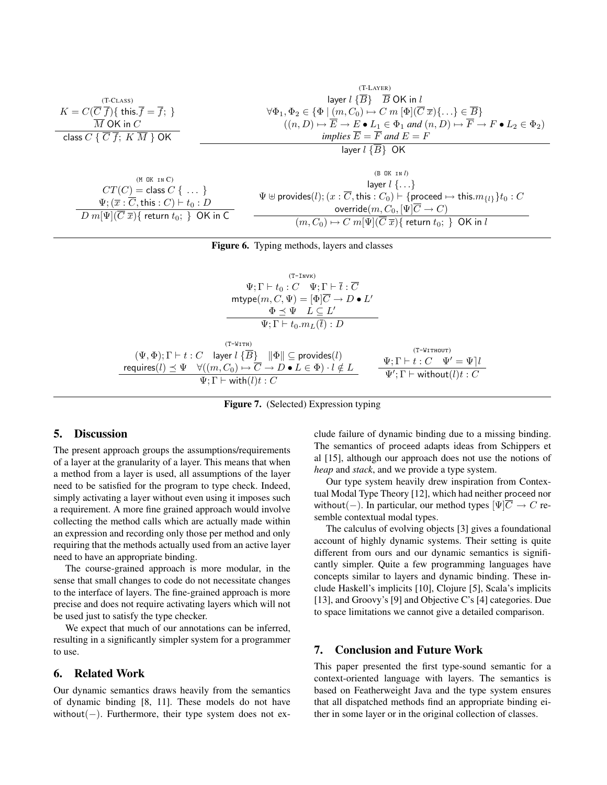$$
K = C(\overline{C}\overline{f})\{\text{ this. } \overline{f} = \overline{f};\}\
$$
\n
$$
K = C(\overline{C}\overline{f})\{\text{ this. } \overline{f} = \overline{f};\}\
$$
\n
$$
V\Phi_1, \Phi_2 \in \{\Phi \mid (m, C_0) \mapsto C \text{ in } [\Phi](\overline{C}\overline{x})\{\dots\} \in \overline{B}\}
$$
\n
$$
(\overline{n}, D) \mapsto \overline{E} \to E \bullet L_1 \in \Phi_1 \text{ and } (n, D) \mapsto \overline{F} \to F \bullet L_2 \in \Phi_2)
$$
\n
$$
L_1 \in \Phi_1 \text{ and } (n, D) \mapsto \overline{F} \to F \bullet L_2 \in \Phi_2
$$
\n
$$
L_2 \in \Phi_2
$$
\n
$$
L_3 \in \overline{C} \text{ and } (n, D) \mapsto \overline{F} \to F \bullet L_2 \in \Phi_2
$$
\n
$$
L_4 \in \Phi_1 \text{ and } (n, D) \mapsto \overline{F} \to F \bullet L_2 \in \Phi_2
$$
\n
$$
L_5 \in \overline{B}
$$
\n
$$
L_6 \in \mathbb{R}
$$
\n
$$
L_7 \cap C = \text{ close } C \text{ and } C = \text{ degree of } C
$$
\n
$$
L_8 \cap \overline{C} \text{ and } (n, D) \mapsto \overline{C} \to \overline{C} \text{ and } (n, D) \mapsto \overline{C} \to \overline{C} \text{ and } (n, D) \mapsto \overline{C} \to \overline{C} \text{ and } (n, D) \mapsto \overline{C} \to \overline{C} \text{ and } (n, D) \mapsto \overline{C} \to \overline{C} \text{ and } (n, D) \mapsto \overline{C} \to \overline{C} \text{ and } (n, D) \mapsto \overline{C} \to \overline{C} \text{ and } (n, D) \mapsto \overline{C} \to \overline{C} \text{ and } (n, D) \mapsto \overline{C} \to \overline{C} \text{ and } (n, D) \mapsto \overline{
$$

| $CT(C) = \text{class } C \ \{ \ \dots \ \}$<br>$\Psi$ ; $(\overline{x}:\overline{C},$ this $:C) \vdash t_0:D$ | $1.49$ $\sim$ $1.1$ $\cdot$ $\cdot$ $\cdot$ $\cdot$<br>$\Psi \oplus$ provides(l); $(x : \overline{C},$ this $: C_0$ $\vdash$ {proceed $\mapsto$ this. $m_{\{l\}}$ } $t_0 : C$<br>override $(m, C_0, [\Psi]C \to C)$ |
|---------------------------------------------------------------------------------------------------------------|---------------------------------------------------------------------------------------------------------------------------------------------------------------------------------------------------------------------|
| $h[\Psi](\overline{C}\ \overline{x})\{$ return $t_0;\ \}$ OK in C .                                           | $(m, C_0) \mapsto C m[\Psi](\overline{C} \overline{x})$ return $t_0$ ; } OK in l                                                                                                                                    |



(T-Invk)  $\Psi ; \Gamma \vdash t_0 : C \quad \Psi ; \Gamma \vdash \overline{t} : \overline{C}$ mtype $(m, C, \Psi) = [\Phi]\overline{C} \to D \bullet L'$  $\Phi \preceq \Psi \quad L \subseteq L'$  $\Psi; \Gamma \vdash t_0.m_L(\overline{t}) : D$  $(T-WITH)$  $(\Psi, \Phi); \Gamma \vdash t : C$  layer  $l \{ \overline{B} \}$   $\|\Phi\| \subseteq \text{provides}(l)$ requires $(l) \preceq \Psi \quad \forall ((m,C_0) \mapsto \overline{C} \to D \bullet L \in \Phi) \cdot l \notin L$  $\Psi ; \Gamma \vdash \mathsf{with}(l)t : C$ (T-Without)  $\Psi; \Gamma \vdash t : C \quad \Psi' = \Psi \, l$  $\Psi'; \Gamma \vdash \textsf{without}(l)t : C$ 

Figure 7. (Selected) Expression typing

#### 5. Discussion

 $\overline{D m}$ 

The present approach groups the assumptions/requirements of a layer at the granularity of a layer. This means that when a method from a layer is used, all assumptions of the layer need to be satisfied for the program to type check. Indeed, simply activating a layer without even using it imposes such a requirement. A more fine grained approach would involve collecting the method calls which are actually made within an expression and recording only those per method and only requiring that the methods actually used from an active layer need to have an appropriate binding.

The course-grained approach is more modular, in the sense that small changes to code do not necessitate changes to the interface of layers. The fine-grained approach is more precise and does not require activating layers which will not be used just to satisfy the type checker.

We expect that much of our annotations can be inferred, resulting in a significantly simpler system for a programmer to use.

#### 6. Related Work

Our dynamic semantics draws heavily from the semantics of dynamic binding [8, 11]. These models do not have without(−). Furthermore, their type system does not ex-

clude failure of dynamic binding due to a missing binding. The semantics of proceed adapts ideas from Schippers et al [15], although our approach does not use the notions of *heap* and *stack*, and we provide a type system.

Our type system heavily drew inspiration from Contextual Modal Type Theory [12], which had neither proceed nor without(−). In particular, our method types  $[\Psi]\overline{C} \rightarrow C$  resemble contextual modal types.

The calculus of evolving objects [3] gives a foundational account of highly dynamic systems. Their setting is quite different from ours and our dynamic semantics is significantly simpler. Quite a few programming languages have concepts similar to layers and dynamic binding. These include Haskell's implicits [10], Clojure [5], Scala's implicits [13], and Groovy's [9] and Objective C's [4] categories. Due to space limitations we cannot give a detailed comparison.

## 7. Conclusion and Future Work

This paper presented the first type-sound semantic for a context-oriented language with layers. The semantics is based on Featherweight Java and the type system ensures that all dispatched methods find an appropriate binding either in some layer or in the original collection of classes.